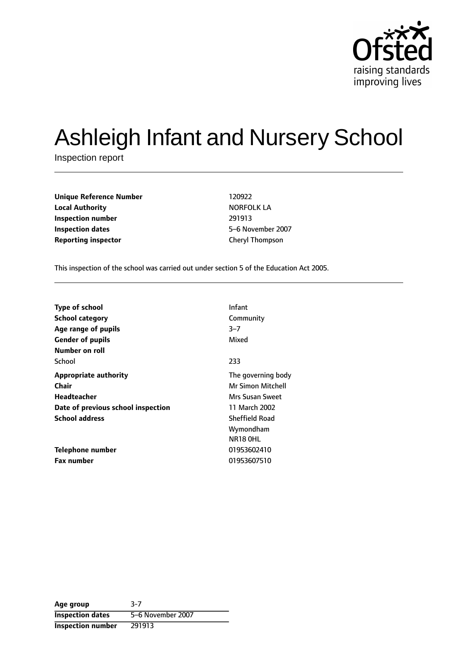

# Ashleigh Infant and Nursery School

Inspection report

| <b>Unique Reference Number</b> | 120922            |
|--------------------------------|-------------------|
| <b>Local Authority</b>         | <b>NORFOLK LA</b> |
| Inspection number              | 291913            |
| Inspection dates               | 5-6 November 20   |
| <b>Reporting inspector</b>     | Cheryl Thompson   |

**Local Authority** NORFOLK LA **Inspection dates** 56 November 2007

This inspection of the school was carried out under section 5 of the Education Act 2005.

| <b>Type of school</b>              | Infant                |
|------------------------------------|-----------------------|
| <b>School category</b>             | Community             |
| Age range of pupils                | $3 - 7$               |
| <b>Gender of pupils</b>            | Mixed                 |
| Number on roll                     |                       |
| School                             | 233                   |
| <b>Appropriate authority</b>       | The governing body    |
| Chair                              | Mr Simon Mitchell     |
| Headteacher                        | Mrs Susan Sweet       |
| Date of previous school inspection | 11 March 2002         |
| <b>School address</b>              | <b>Sheffield Road</b> |
|                                    | Wymondham             |
|                                    | NR18 OHL              |
| Telephone number                   | 01953602410           |
| <b>Fax number</b>                  | 01953607510           |

| Age group                | $3-7$             |
|--------------------------|-------------------|
| <b>Inspection dates</b>  | 5-6 November 2007 |
| <b>Inspection number</b> | 291913            |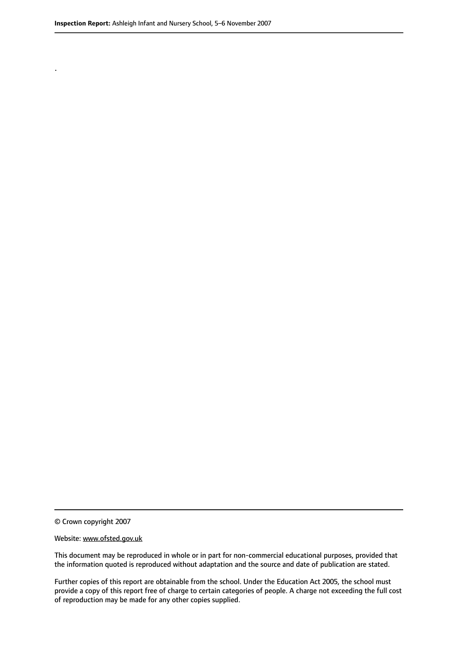.

© Crown copyright 2007

#### Website: www.ofsted.gov.uk

This document may be reproduced in whole or in part for non-commercial educational purposes, provided that the information quoted is reproduced without adaptation and the source and date of publication are stated.

Further copies of this report are obtainable from the school. Under the Education Act 2005, the school must provide a copy of this report free of charge to certain categories of people. A charge not exceeding the full cost of reproduction may be made for any other copies supplied.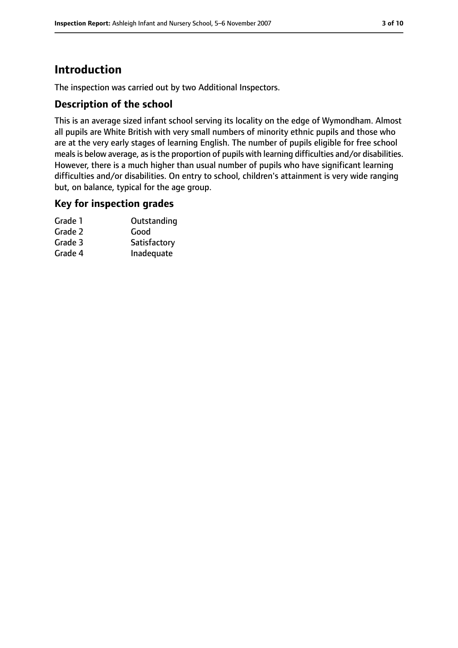# **Introduction**

The inspection was carried out by two Additional Inspectors.

### **Description of the school**

This is an average sized infant school serving its locality on the edge of Wymondham. Almost all pupils are White British with very small numbers of minority ethnic pupils and those who are at the very early stages of learning English. The number of pupils eligible for free school meals is below average, as is the proportion of pupils with learning difficulties and/or disabilities. However, there is a much higher than usual number of pupils who have significant learning difficulties and/or disabilities. On entry to school, children's attainment is very wide ranging but, on balance, typical for the age group.

#### **Key for inspection grades**

| Grade 1 | Outstanding  |
|---------|--------------|
| Grade 2 | Good         |
| Grade 3 | Satisfactory |
| Grade 4 | Inadequate   |
|         |              |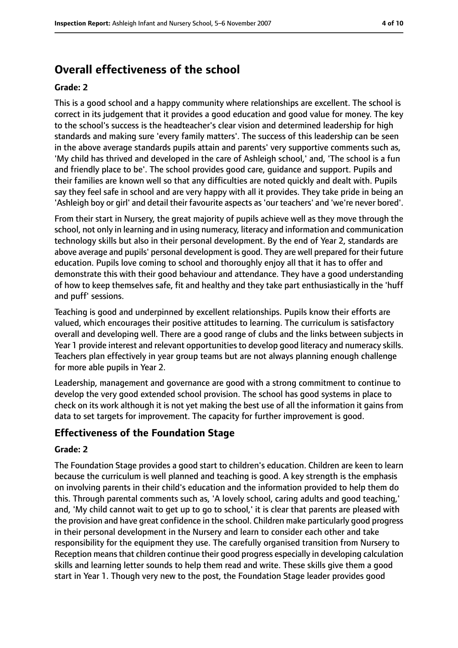## **Overall effectiveness of the school**

#### **Grade: 2**

This is a good school and a happy community where relationships are excellent. The school is correct in its judgement that it provides a good education and good value for money. The key to the school's success is the headteacher's clear vision and determined leadership for high standards and making sure 'every family matters'. The success of this leadership can be seen in the above average standards pupils attain and parents' very supportive comments such as, 'My child has thrived and developed in the care of Ashleigh school,' and, 'The school is a fun and friendly place to be'. The school provides good care, guidance and support. Pupils and their families are known well so that any difficulties are noted quickly and dealt with. Pupils say they feel safe in school and are very happy with all it provides. They take pride in being an 'Ashleigh boy or girl' and detail their favourite aspects as 'our teachers' and 'we're never bored'.

From their start in Nursery, the great majority of pupils achieve well as they move through the school, not only in learning and in using numeracy, literacy and information and communication technology skills but also in their personal development. By the end of Year 2, standards are above average and pupils' personal development is good. They are well prepared for their future education. Pupils love coming to school and thoroughly enjoy all that it has to offer and demonstrate this with their good behaviour and attendance. They have a good understanding of how to keep themselves safe, fit and healthy and they take part enthusiastically in the 'huff and puff' sessions.

Teaching is good and underpinned by excellent relationships. Pupils know their efforts are valued, which encourages their positive attitudes to learning. The curriculum is satisfactory overall and developing well. There are a good range of clubs and the links between subjects in Year 1 provide interest and relevant opportunities to develop good literacy and numeracy skills. Teachers plan effectively in year group teams but are not always planning enough challenge for more able pupils in Year 2.

Leadership, management and governance are good with a strong commitment to continue to develop the very good extended school provision. The school has good systems in place to check on its work although it is not yet making the best use of all the information it gains from data to set targets for improvement. The capacity for further improvement is good.

#### **Effectiveness of the Foundation Stage**

#### **Grade: 2**

The Foundation Stage provides a good start to children's education. Children are keen to learn because the curriculum is well planned and teaching is good. A key strength is the emphasis on involving parents in their child's education and the information provided to help them do this. Through parental comments such as, 'A lovely school, caring adults and good teaching,' and, 'My child cannot wait to get up to go to school,' it is clear that parents are pleased with the provision and have great confidence in the school. Children make particularly good progress in their personal development in the Nursery and learn to consider each other and take responsibility for the equipment they use. The carefully organised transition from Nursery to Reception meansthat children continue their good progress especially in developing calculation skills and learning letter sounds to help them read and write. These skills give them a good start in Year 1. Though very new to the post, the Foundation Stage leader provides good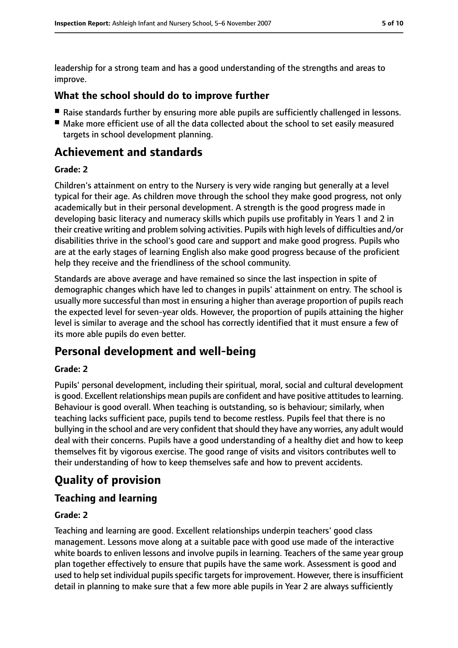leadership for a strong team and has a good understanding of the strengths and areas to improve.

### **What the school should do to improve further**

- Raise standards further by ensuring more able pupils are sufficiently challenged in lessons.
- Make more efficient use of all the data collected about the school to set easily measured targets in school development planning.

## **Achievement and standards**

#### **Grade: 2**

Children's attainment on entry to the Nursery is very wide ranging but generally at a level typical for their age. As children move through the school they make good progress, not only academically but in their personal development. A strength is the good progress made in developing basic literacy and numeracy skills which pupils use profitably in Years 1 and 2 in their creative writing and problem solving activities. Pupils with high levels of difficulties and/or disabilities thrive in the school's good care and support and make good progress. Pupils who are at the early stages of learning English also make good progress because of the proficient help they receive and the friendliness of the school community.

Standards are above average and have remained so since the last inspection in spite of demographic changes which have led to changes in pupils' attainment on entry. The school is usually more successful than most in ensuring a higher than average proportion of pupils reach the expected level for seven-year olds. However, the proportion of pupils attaining the higher level is similar to average and the school has correctly identified that it must ensure a few of its more able pupils do even better.

## **Personal development and well-being**

#### **Grade: 2**

Pupils' personal development, including their spiritual, moral, social and cultural development is good. Excellent relationships mean pupils are confident and have positive attitudes to learning. Behaviour is good overall. When teaching is outstanding, so is behaviour; similarly, when teaching lacks sufficient pace, pupils tend to become restless. Pupils feel that there is no bullying in the school and are very confident that should they have any worries, any adult would deal with their concerns. Pupils have a good understanding of a healthy diet and how to keep themselves fit by vigorous exercise. The good range of visits and visitors contributes well to their understanding of how to keep themselves safe and how to prevent accidents.

# **Quality of provision**

## **Teaching and learning**

#### **Grade: 2**

Teaching and learning are good. Excellent relationships underpin teachers' good class management. Lessons move along at a suitable pace with good use made of the interactive white boards to enliven lessons and involve pupils in learning. Teachers of the same year group plan together effectively to ensure that pupils have the same work. Assessment is good and used to help set individual pupils specific targets for improvement. However, there is insufficient detail in planning to make sure that a few more able pupils in Year 2 are always sufficiently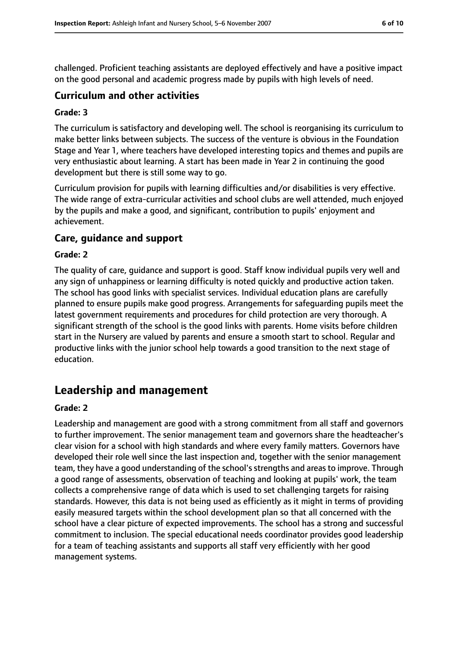challenged. Proficient teaching assistants are deployed effectively and have a positive impact on the good personal and academic progress made by pupils with high levels of need.

#### **Curriculum and other activities**

#### **Grade: 3**

The curriculum is satisfactory and developing well. The school is reorganising its curriculum to make better links between subjects. The success of the venture is obvious in the Foundation Stage and Year 1, where teachers have developed interesting topics and themes and pupils are very enthusiastic about learning. A start has been made in Year 2 in continuing the good development but there is still some way to go.

Curriculum provision for pupils with learning difficulties and/or disabilities is very effective. The wide range of extra-curricular activities and school clubs are well attended, much enjoyed by the pupils and make a good, and significant, contribution to pupils' enjoyment and achievement.

### **Care, guidance and support**

#### **Grade: 2**

The quality of care, guidance and support is good. Staff know individual pupils very well and any sign of unhappiness or learning difficulty is noted quickly and productive action taken. The school has good links with specialist services. Individual education plans are carefully planned to ensure pupils make good progress. Arrangements for safeguarding pupils meet the latest government requirements and procedures for child protection are very thorough. A significant strength of the school is the good links with parents. Home visits before children start in the Nursery are valued by parents and ensure a smooth start to school. Regular and productive links with the junior school help towards a good transition to the next stage of education.

## **Leadership and management**

#### **Grade: 2**

Leadership and management are good with a strong commitment from all staff and governors to further improvement. The senior management team and governors share the headteacher's clear vision for a school with high standards and where every family matters. Governors have developed their role well since the last inspection and, together with the senior management team, they have a good understanding of the school's strengths and areas to improve. Through a good range of assessments, observation of teaching and looking at pupils' work, the team collects a comprehensive range of data which is used to set challenging targets for raising standards. However, this data is not being used as efficiently as it might in terms of providing easily measured targets within the school development plan so that all concerned with the school have a clear picture of expected improvements. The school has a strong and successful commitment to inclusion. The special educational needs coordinator provides good leadership for a team of teaching assistants and supports all staff very efficiently with her good management systems.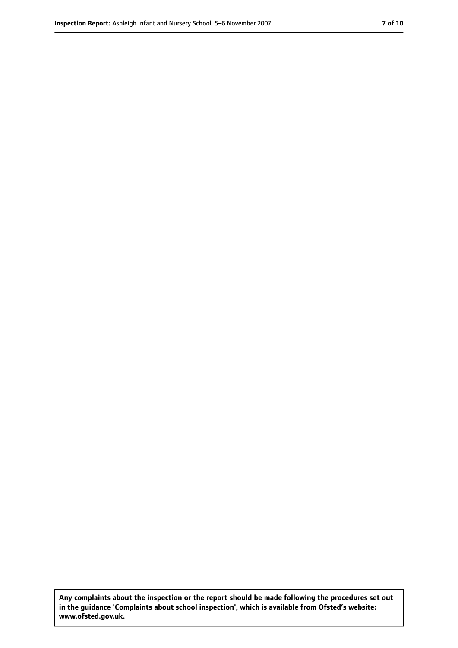**Any complaints about the inspection or the report should be made following the procedures set out in the guidance 'Complaints about school inspection', which is available from Ofsted's website: www.ofsted.gov.uk.**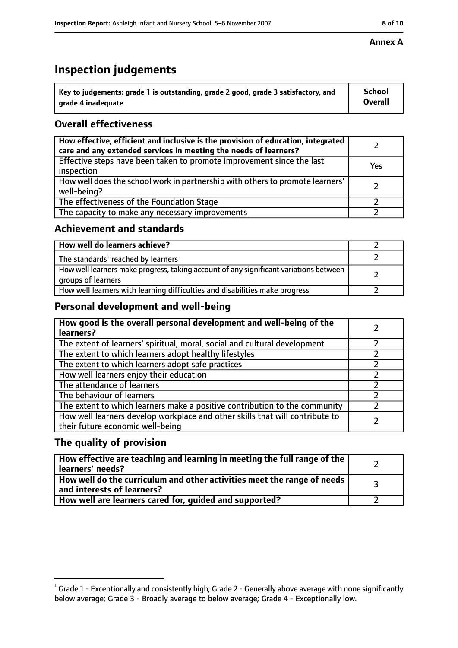## **Inspection judgements**

| $\dot{~}$ Key to judgements: grade 1 is outstanding, grade 2 good, grade 3 satisfactory, and | <b>School</b>  |
|----------------------------------------------------------------------------------------------|----------------|
| arade 4 inadequate                                                                           | <b>Overall</b> |

## **Overall effectiveness**

| How effective, efficient and inclusive is the provision of education, integrated<br>care and any extended services in meeting the needs of learners? |     |
|------------------------------------------------------------------------------------------------------------------------------------------------------|-----|
| Effective steps have been taken to promote improvement since the last<br>inspection                                                                  | Yes |
| How well does the school work in partnership with others to promote learners'<br>well-being?                                                         |     |
| The effectiveness of the Foundation Stage                                                                                                            |     |
| The capacity to make any necessary improvements                                                                                                      |     |

#### **Achievement and standards**

| How well do learners achieve?                                                                               |  |
|-------------------------------------------------------------------------------------------------------------|--|
| The standards <sup>1</sup> reached by learners                                                              |  |
| How well learners make progress, taking account of any significant variations between<br>groups of learners |  |
| How well learners with learning difficulties and disabilities make progress                                 |  |

## **Personal development and well-being**

| How good is the overall personal development and well-being of the<br>learners?                                  |  |
|------------------------------------------------------------------------------------------------------------------|--|
| The extent of learners' spiritual, moral, social and cultural development                                        |  |
| The extent to which learners adopt healthy lifestyles                                                            |  |
| The extent to which learners adopt safe practices                                                                |  |
| How well learners enjoy their education                                                                          |  |
| The attendance of learners                                                                                       |  |
| The behaviour of learners                                                                                        |  |
| The extent to which learners make a positive contribution to the community                                       |  |
| How well learners develop workplace and other skills that will contribute to<br>their future economic well-being |  |

### **The quality of provision**

| How effective are teaching and learning in meeting the full range of the<br>learners' needs?          |  |
|-------------------------------------------------------------------------------------------------------|--|
| How well do the curriculum and other activities meet the range of needs<br>and interests of learners? |  |
| How well are learners cared for, guided and supported?                                                |  |

 $^1$  Grade 1 - Exceptionally and consistently high; Grade 2 - Generally above average with none significantly below average; Grade 3 - Broadly average to below average; Grade 4 - Exceptionally low.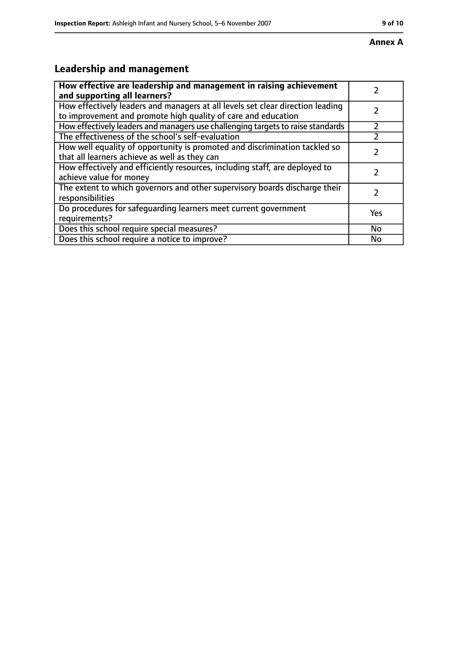# **Leadership and management**

| How effective are leadership and management in raising achievement<br>and supporting all learners?                                              |     |
|-------------------------------------------------------------------------------------------------------------------------------------------------|-----|
| How effectively leaders and managers at all levels set clear direction leading<br>to improvement and promote high quality of care and education |     |
| How effectively leaders and managers use challenging targets to raise standards                                                                 |     |
| The effectiveness of the school's self-evaluation                                                                                               |     |
| How well equality of opportunity is promoted and discrimination tackled so<br>that all learners achieve as well as they can                     |     |
| How effectively and efficiently resources, including staff, are deployed to<br>achieve value for money                                          | 7   |
| The extent to which governors and other supervisory boards discharge their<br>responsibilities                                                  | 7   |
| Do procedures for safequarding learners meet current government<br>requirements?                                                                | Yes |
| Does this school require special measures?                                                                                                      | No  |
| Does this school require a notice to improve?                                                                                                   | No  |